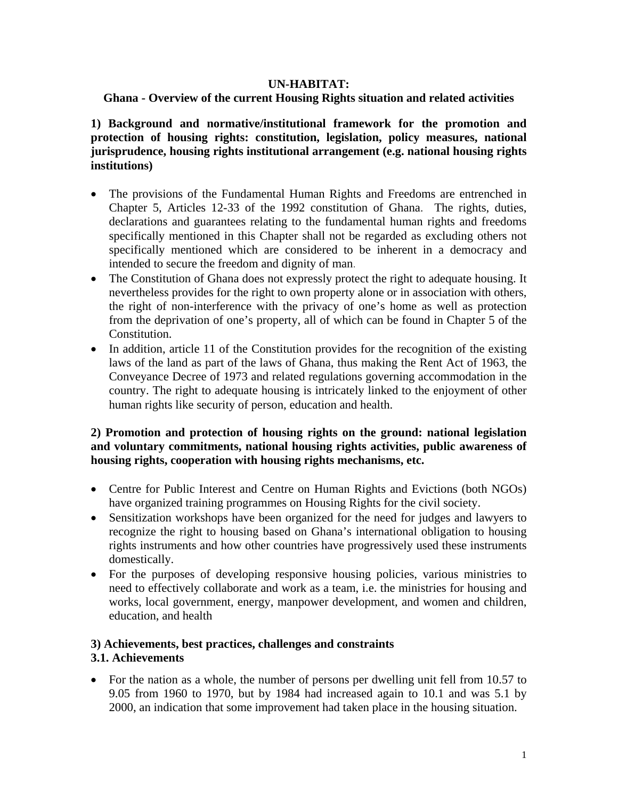## **UN-HABITAT:**

### **Ghana - Overview of the current Housing Rights situation and related activities**

**1) Background and normative/institutional framework for the promotion and protection of housing rights: constitution, legislation, policy measures, national jurisprudence, housing rights institutional arrangement (e.g. national housing rights institutions)** 

- The provisions of the Fundamental Human Rights and Freedoms are entrenched in Chapter 5, Articles 12-33 of the 1992 constitution of Ghana. The rights, duties, declarations and guarantees relating to the fundamental human rights and freedoms specifically mentioned in this Chapter shall not be regarded as excluding others not specifically mentioned which are considered to be inherent in a democracy and intended to secure the freedom and dignity of man.
- The Constitution of Ghana does not expressly protect the right to adequate housing. It nevertheless provides for the right to own property alone or in association with others, the right of non-interference with the privacy of one's home as well as protection from the deprivation of one's property, all of which can be found in Chapter 5 of the Constitution.
- In addition, article 11 of the Constitution provides for the recognition of the existing laws of the land as part of the laws of Ghana, thus making the Rent Act of 1963, the Conveyance Decree of 1973 and related regulations governing accommodation in the country. The right to adequate housing is intricately linked to the enjoyment of other human rights like security of person, education and health.

### **2) Promotion and protection of housing rights on the ground: national legislation and voluntary commitments, national housing rights activities, public awareness of housing rights, cooperation with housing rights mechanisms, etc.**

- Centre for Public Interest and Centre on Human Rights and Evictions (both NGOs) have organized training programmes on Housing Rights for the civil society.
- Sensitization workshops have been organized for the need for judges and lawyers to recognize the right to housing based on Ghana's international obligation to housing rights instruments and how other countries have progressively used these instruments domestically.
- For the purposes of developing responsive housing policies, various ministries to need to effectively collaborate and work as a team, i.e. the ministries for housing and works, local government, energy, manpower development, and women and children, education, and health

### **3) Achievements, best practices, challenges and constraints 3.1. Achievements**

• For the nation as a whole, the number of persons per dwelling unit fell from 10.57 to 9.05 from 1960 to 1970, but by 1984 had increased again to 10.1 and was 5.1 by 2000, an indication that some improvement had taken place in the housing situation.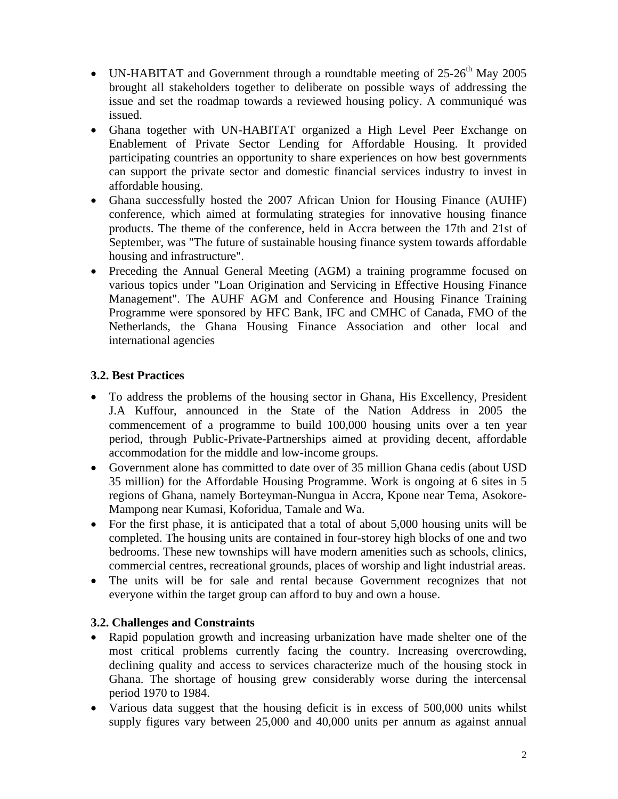- UN-HABITAT and Government through a roundtable meeting of  $25\text{-}26^{\text{th}}$  May 2005 brought all stakeholders together to deliberate on possible ways of addressing the issue and set the roadmap towards a reviewed housing policy. A communiqué was issued.
- Ghana together with UN-HABITAT organized a High Level Peer Exchange on Enablement of Private Sector Lending for Affordable Housing. It provided participating countries an opportunity to share experiences on how best governments can support the private sector and domestic financial services industry to invest in affordable housing.
- Ghana successfully hosted the 2007 African Union for Housing Finance (AUHF) conference, which aimed at formulating strategies for innovative housing finance products. The theme of the conference, held in Accra between the 17th and 21st of September, was "The future of sustainable housing finance system towards affordable housing and infrastructure".
- Preceding the Annual General Meeting (AGM) a training programme focused on various topics under "Loan Origination and Servicing in Effective Housing Finance Management". The AUHF AGM and Conference and Housing Finance Training Programme were sponsored by HFC Bank, IFC and CMHC of Canada, FMO of the Netherlands, the Ghana Housing Finance Association and other local and international agencies

## **3.2. Best Practices**

- To address the problems of the housing sector in Ghana, His Excellency, President J.A Kuffour, announced in the State of the Nation Address in 2005 the commencement of a programme to build 100,000 housing units over a ten year period, through Public-Private-Partnerships aimed at providing decent, affordable accommodation for the middle and low-income groups.
- Government alone has committed to date over of 35 million Ghana cedis (about USD 35 million) for the Affordable Housing Programme. Work is ongoing at 6 sites in 5 regions of Ghana, namely Borteyman-Nungua in Accra, Kpone near Tema, Asokore-Mampong near Kumasi, Koforidua, Tamale and Wa.
- For the first phase, it is anticipated that a total of about 5,000 housing units will be completed. The housing units are contained in four-storey high blocks of one and two bedrooms. These new townships will have modern amenities such as schools, clinics, commercial centres, recreational grounds, places of worship and light industrial areas.
- The units will be for sale and rental because Government recognizes that not everyone within the target group can afford to buy and own a house.

# **3.2. Challenges and Constraints**

- Rapid population growth and increasing urbanization have made shelter one of the most critical problems currently facing the country. Increasing overcrowding, declining quality and access to services characterize much of the housing stock in Ghana. The shortage of housing grew considerably worse during the intercensal period 1970 to 1984.
- Various data suggest that the housing deficit is in excess of 500,000 units whilst supply figures vary between 25,000 and 40,000 units per annum as against annual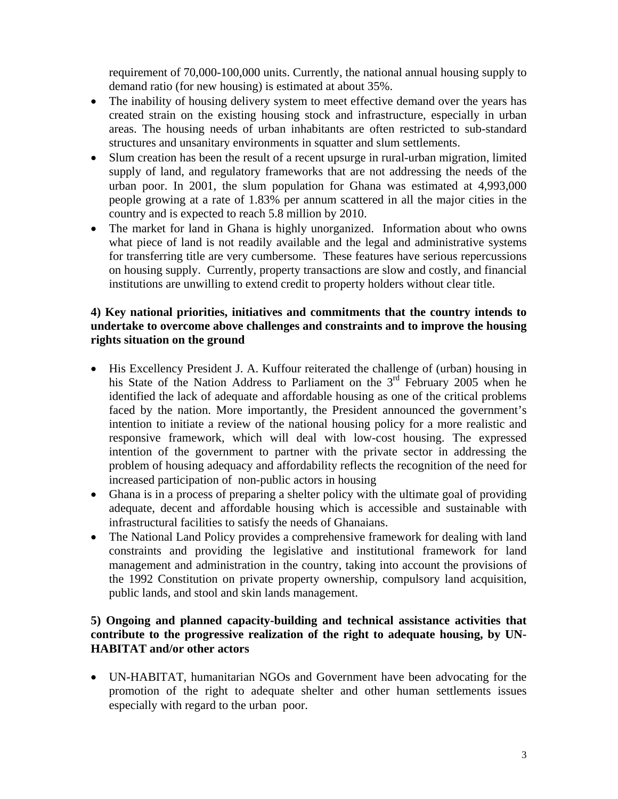requirement of 70,000-100,000 units. Currently, the national annual housing supply to demand ratio (for new housing) is estimated at about 35%.

- The inability of housing delivery system to meet effective demand over the years has created strain on the existing housing stock and infrastructure, especially in urban areas. The housing needs of urban inhabitants are often restricted to sub-standard structures and unsanitary environments in squatter and slum settlements.
- Slum creation has been the result of a recent upsurge in rural-urban migration, limited supply of land, and regulatory frameworks that are not addressing the needs of the urban poor. In 2001, the slum population for Ghana was estimated at 4,993,000 people growing at a rate of 1.83% per annum scattered in all the major cities in the country and is expected to reach 5.8 million by 2010.
- The market for land in Ghana is highly unorganized. Information about who owns what piece of land is not readily available and the legal and administrative systems for transferring title are very cumbersome. These features have serious repercussions on housing supply. Currently, property transactions are slow and costly, and financial institutions are unwilling to extend credit to property holders without clear title.

#### **4) Key national priorities, initiatives and commitments that the country intends to undertake to overcome above challenges and constraints and to improve the housing rights situation on the ground**

- His Excellency President J. A. Kuffour reiterated the challenge of (urban) housing in his State of the Nation Address to Parliament on the 3<sup>rd</sup> February 2005 when he identified the lack of adequate and affordable housing as one of the critical problems faced by the nation. More importantly, the President announced the government's intention to initiate a review of the national housing policy for a more realistic and responsive framework, which will deal with low-cost housing. The expressed intention of the government to partner with the private sector in addressing the problem of housing adequacy and affordability reflects the recognition of the need for increased participation of non-public actors in housing
- Ghana is in a process of preparing a shelter policy with the ultimate goal of providing adequate, decent and affordable housing which is accessible and sustainable with infrastructural facilities to satisfy the needs of Ghanaians.
- The National Land Policy provides a comprehensive framework for dealing with land constraints and providing the legislative and institutional framework for land management and administration in the country, taking into account the provisions of the 1992 Constitution on private property ownership, compulsory land acquisition, public lands, and stool and skin lands management.

### **5) Ongoing and planned capacity-building and technical assistance activities that contribute to the progressive realization of the right to adequate housing, by UN-HABITAT and/or other actors**

• UN-HABITAT, humanitarian NGOs and Government have been advocating for the promotion of the right to adequate shelter and other human settlements issues especially with regard to the urban poor.